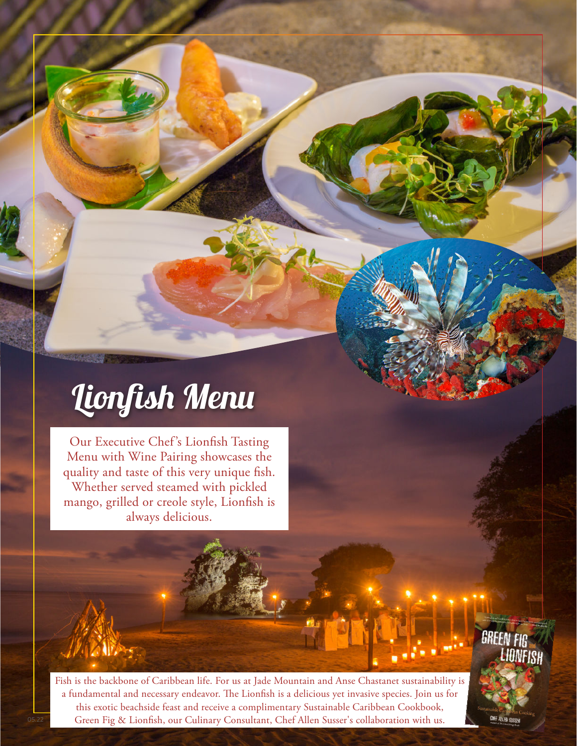# Lionfish Menu

Our Executive Chef 's Lionfish Tasting Menu with Wine Pairing showcases the quality and taste of this very unique fish. Whether served steamed with pickled mango, grilled or creole style, Lionfish is always delicious.

Fish is the backbone of Caribbean life. For us at Jade Mountain and Anse Chastanet sustainability is a fundamental and necessary endeavor. The Lionfish is a delicious yet invasive species. Join us for this exotic beachside feast and receive a complimentary Sustainable Caribbean Cookbook, Green Fig & Lionfish, our Culinary Consultant, Chef Allen Susser's collaboration with us.

**GREEN FIG** LIANFISH

**CHEF ALLEN SIR**